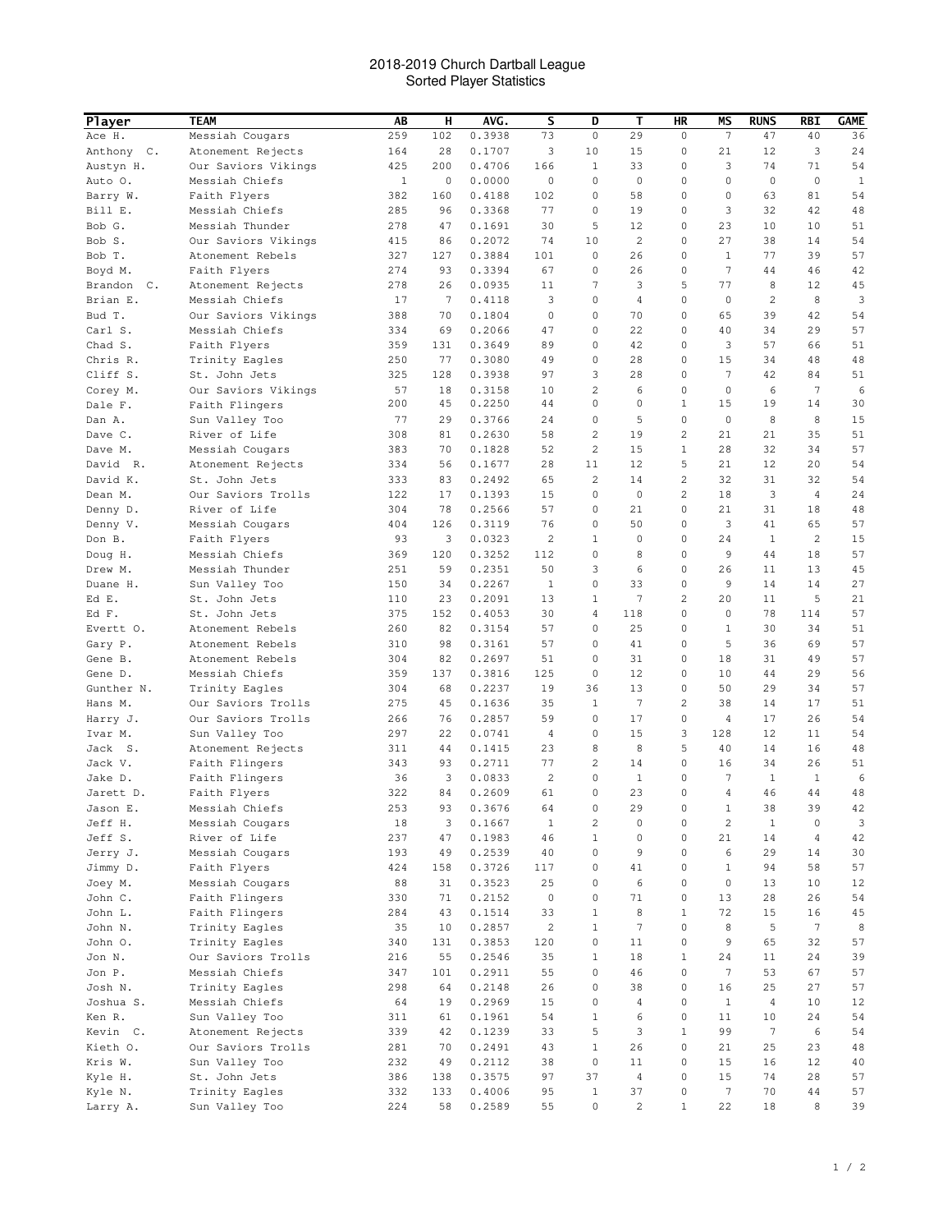## 2018-2019 Church Dartball League Sorted Player Statistics

| <b>Player</b>             | <b>TEAM</b>                          | AB           | н         | AVG.             | s                   | D                | Т                       | HR               | ΜS                 | <b>RUNS</b>      | RBI             | <b>GAME</b>  |
|---------------------------|--------------------------------------|--------------|-----------|------------------|---------------------|------------------|-------------------------|------------------|--------------------|------------------|-----------------|--------------|
| Ace H.                    | Messiah Cougars                      | 259          | 102       | 0.3938           | 73                  | $\mathbb O$      | 29                      | 0                | 7                  | 47               | 40              | 36           |
| Anthony C.                | Atonement Rejects                    | 164          | 28        | 0.1707           | 3                   | 10               | 15                      | 0                | 21                 | 12               | 3               | 24           |
| Austyn H.                 | Our Saviors Vikings                  | 425          | 200       | 0.4706           | 166                 | 1                | 33                      | 0                | 3                  | 74               | 71              | 54           |
| Auto O.                   | Messiah Chiefs                       | $\mathbf{1}$ | 0         | 0.0000           | 0                   | 0                | 0                       | 0                | $\mathbf 0$        | $\mathbf 0$      | $\mathbf 0$     | $\mathbf{1}$ |
| Barry W.                  | Faith Flyers                         | 382          | 160       | 0.4188           | 102                 | 0                | 58                      | 0                | 0                  | 63               | 81              | 54           |
| Bill E.                   | Messiah Chiefs                       | 285          | 96        | 0.3368           | 77                  | 0                | 19                      | 0                | 3                  | 32               | 42              | 48           |
| Bob G.                    | Messiah Thunder                      | 278          | 47        | 0.1691           | 30                  | 5                | 12                      | 0                | 23                 | 10               | 10              | 51           |
| Bob S.                    | Our Saviors Vikings                  | 415          | 86        | 0.2072           | 74                  | 10               | 2                       | 0                | 27                 | 38               | 14              | 54           |
| Bob T.                    | Atonement Rebels                     | 327          | 127       | 0.3884           | 101                 | 0                | 26                      | 0                | $\mathbf{1}$       | 77               | 39              | 57           |
| Boyd M.                   | Faith Flyers                         | 274          | 93        | 0.3394           | 67                  | 0                | 26                      | 0                | 7                  | 44               | 46              | 42           |
| Brandon<br>$\mathbb{C}$ . | Atonement Rejects                    | 278          | 26        | 0.0935           | 11                  | $\overline{7}$   | 3                       | 5                | 77                 | 8                | 12              | 45           |
| Brian E.                  | Messiah Chiefs                       | 17           | 7         | 0.4118           | 3                   | 0                | 4                       | $\mathbf 0$      | $\mathbf 0$        | 2                | 8               | 3            |
| Bud T.                    | Our Saviors Vikings                  | 388          | 70        | 0.1804           | 0                   | 0                | 70                      | 0                | 65                 | 39               | 42              | 54           |
| Carl S.                   | Messiah Chiefs                       | 334          | 69        | 0.2066           | 47                  | 0                | 22                      | 0                | 40                 | 34               | 29              | 57           |
| Chad S.                   | Faith Flyers                         | 359          | 131<br>77 | 0.3649           | 89<br>49            | 0<br>$\mathbf 0$ | 42                      | 0                | 3                  | 57               | 66              | 51           |
| Chris R.<br>Cliff S.      | Trinity Eagles<br>St. John Jets      | 250<br>325   | 128       | 0.3080<br>0.3938 | 97                  | 3                | 28<br>28                | 0<br>0           | 15<br>7            | 34<br>42         | 48<br>84        | 48<br>51     |
| Corey M.                  | Our Saviors Vikings                  | 57           | 18        | 0.3158           | 10                  | $\overline{c}$   | 6                       | 0                | 0                  | 6                | 7               | 6            |
| Dale F.                   | Faith Flingers                       | 200          | 45        | 0.2250           | 44                  | $\mathbf 0$      | 0                       | $\mathbf{1}$     | 15                 | 19               | 14              | 30           |
| Dan A.                    | Sun Valley Too                       | 77           | 29        | 0.3766           | 24                  | 0                | 5                       | 0                | 0                  | 8                | 8               | 15           |
| Dave C.                   | River of Life                        | 308          | 81        | 0.2630           | 58                  | $\overline{c}$   | 19                      | 2                | 21                 | 21               | 35              | 51           |
| Dave M.                   | Messiah Cougars                      | 383          | 70        | 0.1828           | 52                  | $\overline{c}$   | 15                      | $\mathbf{1}$     | 28                 | 32               | 34              | 57           |
| David R.                  | Atonement Rejects                    | 334          | 56        | 0.1677           | 28                  | 11               | 12                      | 5                | 21                 | 12               | 20              | 54           |
| David K.                  | St. John Jets                        | 333          | 83        | 0.2492           | 65                  | 2                | 14                      | $\overline{c}$   | 32                 | 31               | 32              | 54           |
| Dean M.                   | Our Saviors Trolls                   | 122          | 17        | 0.1393           | 15                  | 0                | 0                       | 2                | 18                 | 3                | 4               | 24           |
| Denny D.                  | River of Life                        | 304          | 78        | 0.2566           | 57                  | 0                | 21                      | 0                | 21                 | 31               | 18              | 48           |
| Denny V.                  | Messiah Cougars                      | 404          | 126       | 0.3119           | 76                  | 0                | 50                      | 0                | 3                  | 41               | 65              | 57           |
| Don B.                    | Faith Flyers                         | 93           | 3         | 0.0323           | $\overline{c}$      | 1                | 0                       | 0                | 24                 | 1                | 2               | 15           |
| Doug H.                   | Messiah Chiefs                       | 369          | 120       | 0.3252           | 112                 | 0                | 8                       | 0                | 9                  | 44               | 18              | 57           |
| Drew M.                   | Messiah Thunder                      | 251          | 59        | 0.2351           | 50                  | 3                | 6                       | 0                | 26                 | 11               | 13              | 45           |
| Duane H.                  | Sun Valley Too                       | 150          | 34        | 0.2267           | $\mathbf{1}$        | $\mathbf 0$      | 33                      | $\mathbf 0$      | 9                  | 14               | 14              | 27           |
| Ed E.                     | St. John Jets                        | 110          | 23        | 0.2091           | 13                  | 1                | 7                       | 2                | 20                 | 11               | 5               | 21           |
| Ed F.                     | St. John Jets                        | 375          | 152       | 0.4053           | 30                  | 4                | 118                     | 0                | 0                  | 78               | 114             | 57           |
| Evertt O.                 | Atonement Rebels                     | 260          | 82        | 0.3154           | 57                  | 0                | 25                      | $\mathbf 0$      | $\mathbf{1}$       | 30               | 34              | 51           |
| Gary P.                   | Atonement Rebels                     | 310          | 98        | 0.3161           | 57                  | 0                | 41                      | 0                | 5                  | 36               | 69              | 57           |
| Gene B.                   | Atonement Rebels                     | 304          | 82        | 0.2697           | 51                  | 0                | 31                      | 0                | 18                 | 31               | 49              | 57           |
| Gene D.                   | Messiah Chiefs                       | 359          | 137       | 0.3816           | 125                 | 0                | 12                      | 0                | 10                 | 44<br>29         | 29              | 56           |
| Gunther N.<br>Hans M.     | Trinity Eagles<br>Our Saviors Trolls | 304<br>275   | 68<br>45  | 0.2237<br>0.1636 | 19<br>35            | 36<br>1          | 13<br>7                 | 0<br>2           | 50<br>38           | 14               | 34<br>17        | 57<br>51     |
| Harry J.                  | Our Saviors Trolls                   | 266          | 76        | 0.2857           | 59                  | 0                | 17                      | 0                | 4                  | 17               | 26              | 54           |
| Ivar M.                   | Sun Valley Too                       | 297          | 22        | 0.0741           | 4                   | $\mathbf 0$      | 15                      | 3                | 128                | 12               | 11              | 54           |
| Jack S.                   | Atonement Rejects                    | 311          | 44        | 0.1415           | 23                  | 8                | 8                       | 5                | 40                 | 14               | 16              | 48           |
| Jack V.                   | Faith Flingers                       | 343          | 93        | 0.2711           | 77                  | 2                | 14                      | 0                | 16                 | 34               | 26              | 51           |
| Jake D.                   | Faith Flingers                       | 36           | 3         | 0.0833           | $\overline{c}$      | 0                | 1                       | 0                | 7                  | 1                | 1               | 6            |
| Jarett D.                 | Faith Flyers                         | 322          | 84        | 0.2609           | 61                  | 0                | 23                      | 0                | 4                  | 46               | 44              | 48           |
| Jason E.                  | Messiah Chiefs                       | 253          | 93        | 0.3676           | 64                  | 0                | 29                      | 0                | $\mathbf{1}$       | 38               | 39              | 42           |
| Jeff H.                   | Messiah Cougars                      | 18           | 3         | 0.1667           | $\mathbf{1}$        | 2                | 0                       | 0                | 2                  | $\mathbf{1}$     | $\mathbb O$     | 3            |
| Jeff S.                   | River of Life                        | 237          | 47        | 0.1983           | 46                  | $\mathbf{1}$     | $\mathsf{O}\xspace$     | 0                | 21                 | 14               | $\overline{4}$  | 42           |
| Jerry J.                  | Messiah Cougars                      | 193          | 49        | 0.2539           | 40                  | $\mathbf 0$      | 9                       | $\mathsf 0$      | 6                  | 29               | 14              | 30           |
| Jimmy D.                  | Faith Flyers                         | 424          | 158       | 0.3726           | 117                 | $\mathbf 0$      | 41                      | 0                | $\mathbf{1}$       | 94               | 58              | 57           |
| Joey M.                   | Messiah Cougars                      | 88           | 31        | 0.3523           | 25                  | $\mathbf 0$      | 6                       | 0                | 0                  | 13               | 10              | 12           |
| John C.                   | Faith Flingers                       | 330          | 71        | 0.2152           | $\mathsf{O}\xspace$ | $\mathbf 0$      | 71                      | $\mathbf 0$      | 13                 | 28               | 26              | 54           |
| John L.                   | Faith Flingers                       | 284          | 43        | 0.1514           | 33                  | $\mathbf{1}$     | 8                       | $\mathbf{1}$     | 72                 | 15               | 16              | 45           |
| John N.                   | Trinity Eagles                       | 35           | 10        | 0.2857           | $\overline{c}$      | $\mathbf{1}$     | $\overline{7}$          | 0                | 8                  | 5                | $7\phantom{.0}$ | 8            |
| John O.                   | Trinity Eagles                       | 340          | 131       | 0.3853           | 120                 | $\mathbf 0$      | 11                      | $\mathbf 0$      | 9                  | 65               | 32              | 57           |
| Jon N.                    | Our Saviors Trolls                   | 216          | 55        | 0.2546           | 35                  | $\mathbf{1}$     | 18                      | $\mathbf{1}$     | 24                 | 11               | 24              | 39           |
| Jon P.                    | Messiah Chiefs                       | 347          | 101       | 0.2911           | 55<br>26            | $\mathbf 0$      | 46                      | $\mathbf 0$<br>0 | 7                  | 53               | 67<br>27        | 57           |
| Josh N.                   | Trinity Eagles                       | 298          | 64        | 0.2148           |                     | 0<br>$\mathbf 0$ | 38                      | 0                | 16<br>$\mathbf{1}$ | 25<br>$\sqrt{4}$ |                 | 57           |
| Joshua S.<br>Ken R.       | Messiah Chiefs<br>Sun Valley Too     | 64<br>311    | 19<br>61  | 0.2969<br>0.1961 | 15<br>54            | $\mathbf{1}$     | 4<br>6                  | 0                | 11                 | 10               | 10<br>24        | 12<br>54     |
| Kevin C.                  | Atonement Rejects                    | 339          | 42        | 0.1239           | 33                  | 5                | 3                       | $\mathbf{1}$     | 99                 | $7\phantom{.0}$  | 6               | 54           |
| Kieth O.                  | Our Saviors Trolls                   | 281          | 70        | 0.2491           | 43                  | $\mathbf{1}$     | 26                      | $\mathbf 0$      | 21                 | 25               | 23              | 48           |
| Kris W.                   | Sun Valley Too                       | 232          | 49        | 0.2112           | 38                  | $\mathbf 0$      | 11                      | 0                | 15                 | 16               | 12              | 40           |
| Kyle H.                   | St. John Jets                        | 386          | 138       | 0.3575           | 97                  | 37               | 4                       | 0                | 15                 | 74               | 28              | 57           |
| Kyle N.                   | Trinity Eagles                       | 332          | 133       | 0.4006           | 95                  | $\mathbf{1}$     | 37                      | 0                | 7                  | 70               | 44              | 57           |
| Larry A.                  | Sun Valley Too                       | 224          | 58        | 0.2589           | 55                  | 0                | $\overline{\mathbf{c}}$ | $\mathbf{1}$     | 22                 | 18               | 8               | 39           |